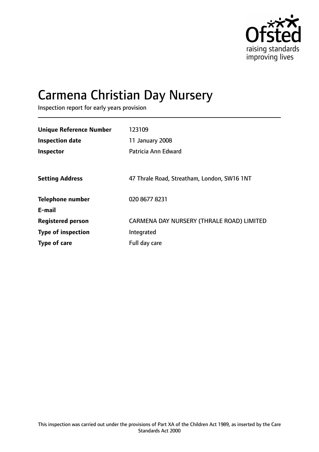

# Carmena Christian Day Nursery

Inspection report for early years provision

| <b>Unique Reference Number</b><br><b>Inspection date</b><br>Inspector | 123109<br>11 January 2008<br>Patricia Ann Edward |
|-----------------------------------------------------------------------|--------------------------------------------------|
| <b>Setting Address</b>                                                | 47 Thrale Road, Streatham, London, SW16 1NT      |
| <b>Telephone number</b><br>E-mail                                     | 020 8677 8231                                    |
| <b>Registered person</b>                                              | CARMENA DAY NURSERY (THRALE ROAD) LIMITED        |
| <b>Type of inspection</b>                                             | Integrated                                       |
| Type of care                                                          | Full day care                                    |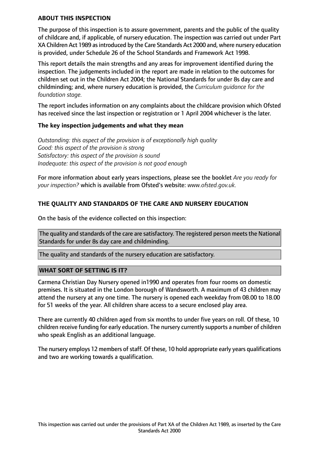#### **ABOUT THIS INSPECTION**

The purpose of this inspection is to assure government, parents and the public of the quality of childcare and, if applicable, of nursery education. The inspection was carried out under Part XA Children Act 1989 as introduced by the Care Standards Act 2000 and, where nursery education is provided, under Schedule 26 of the School Standards and Framework Act 1998.

This report details the main strengths and any areas for improvement identified during the inspection. The judgements included in the report are made in relation to the outcomes for children set out in the Children Act 2004; the National Standards for under 8s day care and childminding; and, where nursery education is provided, the *Curriculum guidance for the foundation stage.*

The report includes information on any complaints about the childcare provision which Ofsted has received since the last inspection or registration or 1 April 2004 whichever is the later.

#### **The key inspection judgements and what they mean**

*Outstanding: this aspect of the provision is of exceptionally high quality Good: this aspect of the provision is strong Satisfactory: this aspect of the provision is sound Inadequate: this aspect of the provision is not good enough*

For more information about early years inspections, please see the booklet *Are you ready for your inspection?* which is available from Ofsted's website: *www.ofsted.gov.uk.*

## **THE QUALITY AND STANDARDS OF THE CARE AND NURSERY EDUCATION**

On the basis of the evidence collected on this inspection:

The quality and standards of the care are satisfactory. The registered person meets the National Standards for under 8s day care and childminding.

The quality and standards of the nursery education are satisfactory.

#### **WHAT SORT OF SETTING IS IT?**

Carmena Christian Day Nursery opened in1990 and operates from four rooms on domestic premises. It is situated in the London borough of Wandsworth. A maximum of 43 children may attend the nursery at any one time. The nursery is opened each weekday from 08.00 to 18.00 for 51 weeks of the year. All children share access to a secure enclosed play area.

There are currently 40 children aged from six months to under five years on roll. Of these, 10 children receive funding for early education. The nursery currently supports a number of children who speak English as an additional language.

The nursery employs 12 members of staff. Of these, 10 hold appropriate early years qualifications and two are working towards a qualification.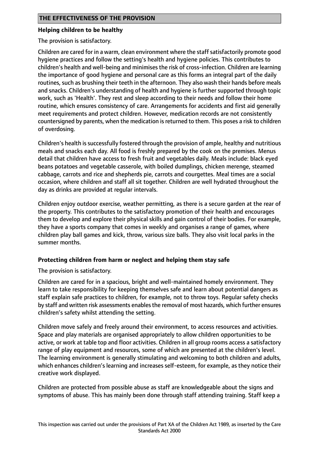#### **Helping children to be healthy**

The provision is satisfactory.

Children are cared for in a warm, clean environment where the staffsatisfactorily promote good hygiene practices and follow the setting's health and hygiene policies. This contributes to children's health and well-being and minimises the risk of cross-infection. Children are learning the importance of good hygiene and personal care as this forms an integral part of the daily routines, such as brushing their teeth in the afternoon. They also wash their hands before meals and snacks. Children's understanding of health and hygiene is further supported through topic work, such as 'Health'. They rest and sleep according to their needs and follow their home routine, which ensures consistency of care. Arrangements for accidents and first aid generally meet requirements and protect children. However, medication records are not consistently countersigned by parents, when the medication isreturned to them. This poses a risk to children of overdosing.

Children's health is successfully fostered through the provision of ample, healthy and nutritious meals and snacks each day. All food is freshly prepared by the cook on the premises. Menus detail that children have access to fresh fruit and vegetables daily. Meals include: black eyed beans potatoes and vegetable casserole, with boiled dumplings, chicken merenge, steamed cabbage, carrots and rice and shepherds pie, carrots and courgettes. Meal times are a social occasion, where children and staff all sit together. Children are well hydrated throughout the day as drinks are provided at regular intervals.

Children enjoy outdoor exercise, weather permitting, as there is a secure garden at the rear of the property. This contributes to the satisfactory promotion of their health and encourages them to develop and explore their physical skills and gain control of their bodies. For example, they have a sports company that comes in weekly and organises a range of games, where children play ball games and kick, throw, various size balls. They also visit local parks in the summer months.

## **Protecting children from harm or neglect and helping them stay safe**

The provision is satisfactory.

Children are cared for in a spacious, bright and well-maintained homely environment. They learn to take responsibility for keeping themselves safe and learn about potential dangers as staff explain safe practices to children, for example, not to throw toys. Regular safety checks by staff and written risk assessments enables the removal of most hazards, which further ensures children's safety whilst attending the setting.

Children move safely and freely around their environment, to access resources and activities. Space and play materials are organised appropriately to allow children opportunities to be active, or work at table top and floor activities. Children in all group rooms access a satisfactory range of play equipment and resources, some of which are presented at the children's level. The learning environment is generally stimulating and welcoming to both children and adults, which enhances children's learning and increases self-esteem, for example, as they notice their creative work displayed.

Children are protected from possible abuse as staff are knowledgeable about the signs and symptoms of abuse. This has mainly been done through staff attending training. Staff keep a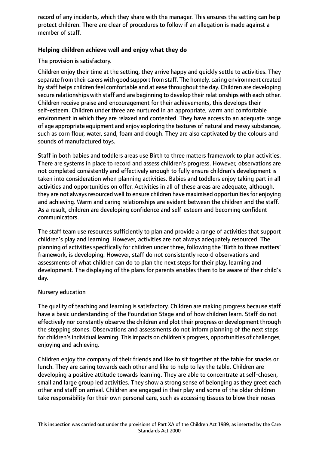record of any incidents, which they share with the manager. This ensures the setting can help protect children. There are clear of procedures to follow if an allegation is made against a member of staff.

# **Helping children achieve well and enjoy what they do**

The provision is satisfactory.

Children enjoy their time at the setting, they arrive happy and quickly settle to activities. They separate from their carers with good support from staff. The homely, caring environment created by staff helps children feel comfortable and at ease throughout the day. Children are developing secure relationships with staff and are beginning to develop their relationships with each other. Children receive praise and encouragement for their achievements, this develops their self-esteem. Children under three are nurtured in an appropriate, warm and comfortable environment in which they are relaxed and contented. They have access to an adequate range of age appropriate equipment and enjoy exploring the textures of natural and messy substances, such as corn flour, water, sand, foam and dough. They are also captivated by the colours and sounds of manufactured toys.

Staff in both babies and toddlers areas use Birth to three matters framework to plan activities. There are systems in place to record and assess children's progress. However, observations are not completed consistently and effectively enough to fully ensure children's development is taken into consideration when planning activities. Babies and toddlers enjoy taking part in all activities and opportunities on offer. Activities in all of these areas are adequate, although, they are not always resourced well to ensure children have maximised opportunities for enjoying and achieving. Warm and caring relationships are evident between the children and the staff. As a result, children are developing confidence and self-esteem and becoming confident communicators.

The staff team use resources sufficiently to plan and provide a range of activities that support children's play and learning. However, activities are not always adequately resourced. The planning of activities specifically for children under three, following the 'Birth to three matters' framework, is developing. However, staff do not consistently record observations and assessments of what children can do to plan the next steps for their play, learning and development. The displaying of the plans for parents enables them to be aware of their child's day.

## Nursery education

The quality of teaching and learning is satisfactory. Children are making progress because staff have a basic understanding of the Foundation Stage and of how children learn. Staff do not effectively nor constantly observe the children and plot their progress or development through the stepping stones. Observations and assessments do not inform planning of the next steps for children's individual learning. This impacts on children's progress, opportunities of challenges, enjoying and achieving.

Children enjoy the company of their friends and like to sit together at the table for snacks or lunch. They are caring towards each other and like to help to lay the table. Children are developing a positive attitude towards learning. They are able to concentrate at self-chosen, small and large group led activities. They show a strong sense of belonging as they greet each other and staff on arrival. Children are engaged in their play and some of the older children take responsibility for their own personal care, such as accessing tissues to blow their noses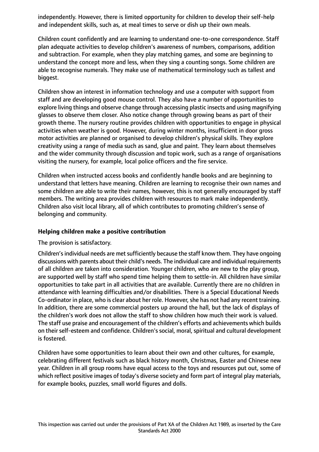independently. However, there is limited opportunity for children to develop their self-help and independent skills, such as, at meal times to serve or dish up their own meals.

Children count confidently and are learning to understand one-to-one correspondence. Staff plan adequate activities to develop children's awareness of numbers, comparisons, addition and subtraction. For example, when they play matching games, and some are beginning to understand the concept more and less, when they sing a counting songs. Some children are able to recognise numerals. They make use of mathematical terminology such as tallest and biggest.

Children show an interest in information technology and use a computer with support from staff and are developing good mouse control. They also have a number of opportunities to explore living things and observe change through accessing plastic insects and using magnifying glasses to observe them closer. Also notice change through growing beans as part of their growth theme. The nursery routine provides children with opportunities to engage in physical activities when weather is good. However, during winter months, insufficient in door gross motor activities are planned or organised to develop children's physical skills. They explore creativity using a range of media such as sand, glue and paint. They learn about themselves and the wider community through discussion and topic work, such as a range of organisations visiting the nursery, for example, local police officers and the fire service.

Children when instructed access books and confidently handle books and are beginning to understand that letters have meaning. Children are learning to recognise their own names and some children are able to write their names, however, this is not generally encouraged by staff members. The writing area provides children with resources to mark make independently. Children also visit local library, all of which contributes to promoting children's sense of belonging and community.

## **Helping children make a positive contribution**

## The provision is satisfactory.

Children's individual needs are met sufficiently because the staff know them. They have ongoing discussions with parents about their child's needs. The individual care and individual requirements of all children are taken into consideration. Younger children, who are new to the play group, are supported well by staff who spend time helping them to settle-in. All children have similar opportunities to take part in all activities that are available. Currently there are no children in attendance with learning difficulties and/or disabilities. There is a Special Educational Needs Co-ordinator in place, who is clear about her role. However, she has not had any recent training. In addition, there are some commercial posters up around the hall, but the lack of displays of the children's work does not allow the staff to show children how much their work is valued. The staff use praise and encouragement of the children's efforts and achievements which builds on their self-esteem and confidence. Children's social, moral, spiritual and cultural development is fostered.

Children have some opportunities to learn about their own and other cultures, for example, celebrating different festivals such as black history month, Christmas, Easter and Chinese new year. Children in all group rooms have equal access to the toys and resources put out, some of which reflect positive images of today's diverse society and form part of integral play materials, for example books, puzzles, small world figures and dolls.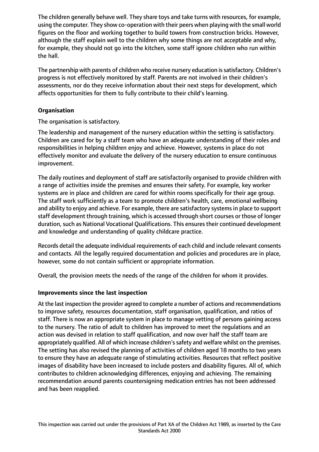The children generally behave well. They share toys and take turns with resources, for example, using the computer. They show co-operation with their peers when playing with the small world figures on the floor and working together to build towers from construction bricks. However, although the staff explain well to the children why some things are not acceptable and why, for example, they should not go into the kitchen, some staff ignore children who run within the hall.

The partnership with parents of children who receive nursery education is satisfactory. Children's progress is not effectively monitored by staff. Parents are not involved in their children's assessments, nor do they receive information about their next steps for development, which affects opportunities for them to fully contribute to their child's learning.

## **Organisation**

The organisation is satisfactory.

The leadership and management of the nursery education within the setting is satisfactory. Children are cared for by a staff team who have an adequate understanding of their roles and responsibilities in helping children enjoy and achieve. However, systems in place do not effectively monitor and evaluate the delivery of the nursery education to ensure continuous improvement.

The daily routines and deployment of staff are satisfactorily organised to provide children with a range of activities inside the premises and ensures their safety. For example, key worker systems are in place and children are cared for within rooms specifically for their age group. The staff work sufficiently as a team to promote children's health, care, emotional wellbeing and ability to enjoy and achieve. For example, there are satisfactory systems in place to support staff development through training, which is accessed through short courses or those of longer duration, such as National Vocational Qualifications. This ensures their continued development and knowledge and understanding of quality childcare practice.

Records detail the adequate individual requirements of each child and include relevant consents and contacts. All the legally required documentation and policies and procedures are in place, however, some do not contain sufficient or appropriate information.

Overall, the provision meets the needs of the range of the children for whom it provides.

## **Improvements since the last inspection**

At the last inspection the provider agreed to complete a number of actions and recommendations to improve safety, resources documentation, staff organisation, qualification, and ratios of staff. There is now an appropriate system in place to manage vetting of persons gaining access to the nursery. The ratio of adult to children has improved to meet the regulations and an action was devised in relation to staff qualification, and now over half the staff team are appropriately qualified. All of which increase children's safety and welfare whilst on the premises. The setting has also revised the planning of activities of children aged 18 months to two years to ensure they have an adequate range of stimulating activities. Resources that reflect positive images of disability have been increased to include posters and disability figures. All of, which contributes to children acknowledging differences, enjoying and achieving. The remaining recommendation around parents countersigning medication entries has not been addressed and has been reapplied.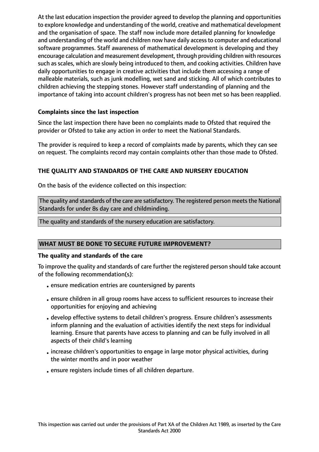At the last education inspection the provider agreed to develop the planning and opportunities to explore knowledge and understanding of the world, creative and mathematical development and the organisation of space. The staff now include more detailed planning for knowledge and understanding of the world and children now have daily access to computer and educational software programmes. Staff awareness of mathematical development is developing and they encourage calculation and measurement development, through providing children with resources such as scales, which are slowly being introduced to them, and cooking activities. Children have daily opportunities to engage in creative activities that include them accessing a range of malleable materials, such as junk modelling, wet sand and sticking. All of which contributes to children achieving the stepping stones. However staff understanding of planning and the importance of taking into account children's progress has not been met so has been reapplied.

## **Complaints since the last inspection**

Since the last inspection there have been no complaints made to Ofsted that required the provider or Ofsted to take any action in order to meet the National Standards.

The provider is required to keep a record of complaints made by parents, which they can see on request. The complaints record may contain complaints other than those made to Ofsted.

## **THE QUALITY AND STANDARDS OF THE CARE AND NURSERY EDUCATION**

On the basis of the evidence collected on this inspection:

The quality and standards of the care are satisfactory. The registered person meets the National Standards for under 8s day care and childminding.

The quality and standards of the nursery education are satisfactory.

## **WHAT MUST BE DONE TO SECURE FUTURE IMPROVEMENT?**

#### **The quality and standards of the care**

To improve the quality and standards of care further the registered person should take account of the following recommendation(s):

- •ensure medication entries are countersigned by parents
- •ensure children in all group rooms have access to sufficient resources to increase their opportunities for enjoying and achieving
- develop effective systems to detail children's progress. Ensure children's assessments inform planning and the evaluation of activities identify the next steps for individual learning. Ensure that parents have access to planning and can be fully involved in all aspects of their child's learning
- •increase children's opportunities to engage in large motor physical activities, during the winter months and in poor weather
- •ensure registers include times of all children departure.